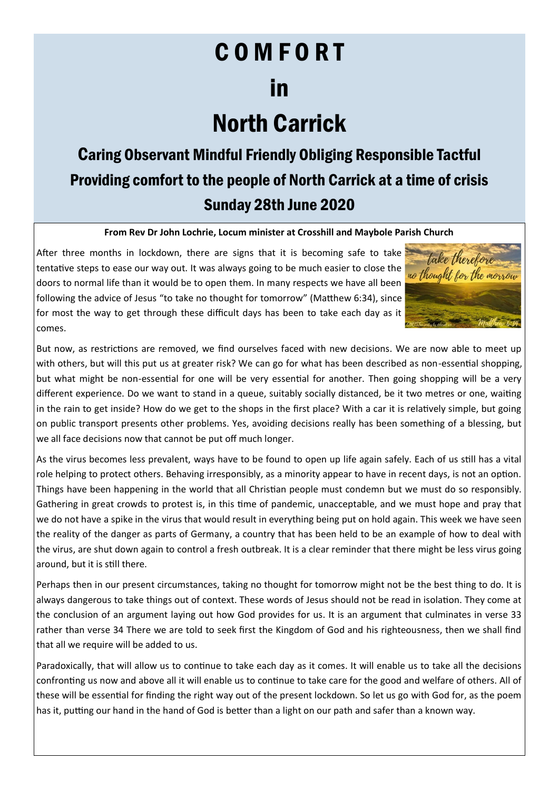# C O M F O R T in

## North Carrick

### Caring Observant Mindful Friendly Obliging Responsible Tactful Providing comfort to the people of North Carrick at a time of crisis Sunday 28th June 2020

#### **From Rev Dr John Lochrie, Locum minister at Crosshill and Maybole Parish Church**

After three months in lockdown, there are signs that it is becoming safe to take tentative steps to ease our way out. It was always going to be much easier to close the doors to normal life than it would be to open them. In many respects we have all been following the advice of Jesus "to take no thought for tomorrow" (Matthew 6:34), since for most the way to get through these difficult days has been to take each day as it comes.



But now, as restrictions are removed, we find ourselves faced with new decisions. We are now able to meet up with others, but will this put us at greater risk? We can go for what has been described as non-essential shopping, but what might be non-essential for one will be very essential for another. Then going shopping will be a very different experience. Do we want to stand in a queue, suitably socially distanced, be it two metres or one, waiting in the rain to get inside? How do we get to the shops in the first place? With a car it is relatively simple, but going on public transport presents other problems. Yes, avoiding decisions really has been something of a blessing, but we all face decisions now that cannot be put off much longer.

As the virus becomes less prevalent, ways have to be found to open up life again safely. Each of us still has a vital role helping to protect others. Behaving irresponsibly, as a minority appear to have in recent days, is not an option. Things have been happening in the world that all Christian people must condemn but we must do so responsibly. Gathering in great crowds to protest is, in this time of pandemic, unacceptable, and we must hope and pray that we do not have a spike in the virus that would result in everything being put on hold again. This week we have seen the reality of the danger as parts of Germany, a country that has been held to be an example of how to deal with the virus, are shut down again to control a fresh outbreak. It is a clear reminder that there might be less virus going around, but it is still there.

Perhaps then in our present circumstances, taking no thought for tomorrow might not be the best thing to do. It is always dangerous to take things out of context. These words of Jesus should not be read in isolation. They come at the conclusion of an argument laying out how God provides for us. It is an argument that culminates in verse 33 rather than verse 34 There we are told to seek first the Kingdom of God and his righteousness, then we shall find that all we require will be added to us.

Paradoxically, that will allow us to continue to take each day as it comes. It will enable us to take all the decisions confronting us now and above all it will enable us to continue to take care for the good and welfare of others. All of these will be essential for finding the right way out of the present lockdown. So let us go with God for, as the poem has it, putting our hand in the hand of God is better than a light on our path and safer than a known way.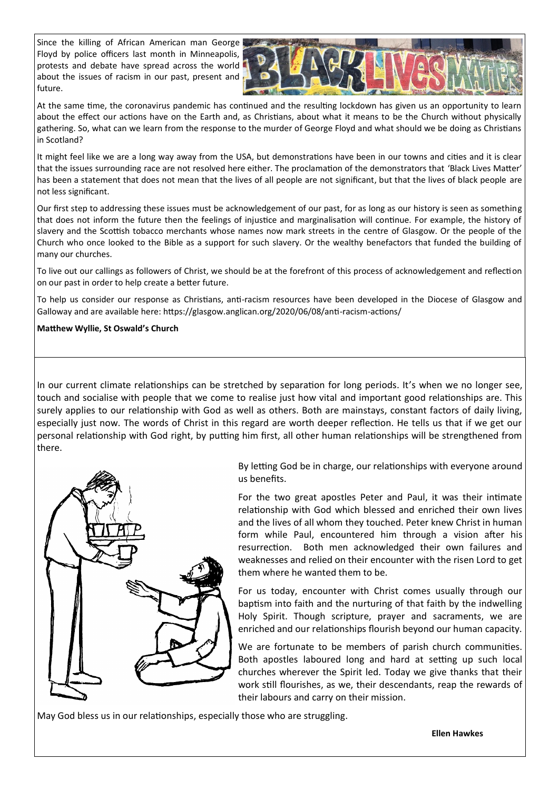Since the killing of African American man George Floyd by police officers last month in Minneapolis, protests and debate have spread across the world about the issues of racism in our past, present and future.



At the same time, the coronavirus pandemic has continued and the resulting lockdown has given us an opportunity to learn about the effect our actions have on the Earth and, as Christians, about what it means to be the Church without physically gathering. So, what can we learn from the response to the murder of George Floyd and what should we be doing as Christians in Scotland?

It might feel like we are a long way away from the USA, but demonstrations have been in our towns and cities and it is clear that the issues surrounding race are not resolved here either. The proclamation of the demonstrators that 'Black Lives Matter' has been a statement that does not mean that the lives of all people are not significant, but that the lives of black people are not less significant.

Our first step to addressing these issues must be acknowledgement of our past, for as long as our history is seen as something that does not inform the future then the feelings of injustice and marginalisation will continue. For example, the history of slavery and the Scottish tobacco merchants whose names now mark streets in the centre of Glasgow. Or the people of the Church who once looked to the Bible as a support for such slavery. Or the wealthy benefactors that funded the building of many our churches.

To live out our callings as followers of Christ, we should be at the forefront of this process of acknowledgement and reflection on our past in order to help create a better future.

To help us consider our response as Christians, anti-racism resources have been developed in the Diocese of Glasgow and Galloway and are available here: https://glasgow.anglican.org/2020/06/08/anti-racism-actions/

#### **Matthew Wyllie, St Oswald's Church**

In our current climate relationships can be stretched by separation for long periods. It's when we no longer see, touch and socialise with people that we come to realise just how vital and important good relationships are. This surely applies to our relationship with God as well as others. Both are mainstays, constant factors of daily living, especially just now. The words of Christ in this regard are worth deeper reflection. He tells us that if we get our personal relationship with God right, by putting him first, all other human relationships will be strengthened from there.



By letting God be in charge, our relationships with everyone around us benefits.

For the two great apostles Peter and Paul, it was their intimate relationship with God which blessed and enriched their own lives and the lives of all whom they touched. Peter knew Christ in human form while Paul, encountered him through a vision after his resurrection. Both men acknowledged their own failures and weaknesses and relied on their encounter with the risen Lord to get them where he wanted them to be.

For us today, encounter with Christ comes usually through our baptism into faith and the nurturing of that faith by the indwelling Holy Spirit. Though scripture, prayer and sacraments, we are enriched and our relationships flourish beyond our human capacity.

We are fortunate to be members of parish church communities. Both apostles laboured long and hard at setting up such local churches wherever the Spirit led. Today we give thanks that their work still flourishes, as we, their descendants, reap the rewards of their labours and carry on their mission.

May God bless us in our relationships, especially those who are struggling.

**Ellen Hawkes**